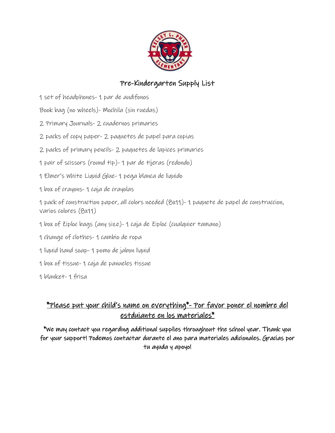

#### Pre-Kindergarten Supply List

1 set of headphones- 1 par de audifonos

Book bag (no wheels)- Mochila (sin ruedas)

- 2 Primary Journals- 2 cuadernos primaries
- 2 packs of copy paper- 2 paquetes de papel para copias
- 2 packs of primary pencils- 2 paquetes de lapices primaries
- 1 pair of scissors (round tip)- 1 par de tijeras (redondo)
- 1 Elmer's White Liquid Glue- 1 pega blanca de liquido
- 1 box of crayons- 1 caja de crayolas

1 pack of construction paper, all colors needed (8x11)- 1 paquete de papel de construccion, varios colores (8x11)

- 1 box of Ziploc bags (any size)- 1 caja de Ziploc (cualquier tamano)
- 1 change of clothes- 1 cambio de ropa
- 1 liquid hand soap- 1 pomo de jabon liquid
- 1 box of tissue- 1 caja de panueles tissue

1 blanket- 1 frisa

## \*Please put your child's name on everything\*- Por favor poner el nombre del estduiante en los materiales\*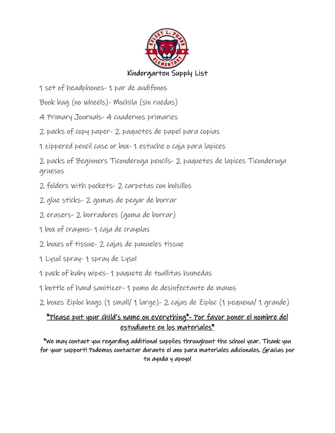

1 set of headphones- 1 par de audifonos

Book bag (no wheels)- Mochila (sin ruedas)

- 4 Primary Journals- 4 cuadernos primaries
- 2 packs of copy paper- 2 paquetes de papel para copias
- 1 zippered pencil case or box- 1 estuche o caja para lapices

2 packs of Beginners Ticonderoga pencils- 2 paquetes de lapices Ticonderoga gruesos

- 2 folders with pockets- 2 carpetas con bolsillos
- 2 glue sticks- 2 gomas de pegar de borrar
- 2 erasers- 2 borradores (goma de borrar)
- 1 box of crayons- 1 caja de crayolas
- 2 boxes of tissue- 2 cajas de panueles tissue
- 1 Lysol spray- 1 spray de Lysol
- 1 pack of baby wipes- 1 paquete de toallitas humedas
- 1 bottle of hand sanitizer- 1 pomo de desinfectante de manos
- 2 boxes Ziploc bags (1 small/ 1 large)- 2 cajas de Ziploc (1 pequena/ 1 grande)

## \*Please put your child's name on everything\*- Por favor poner el nombre del estudiante en los materiales\*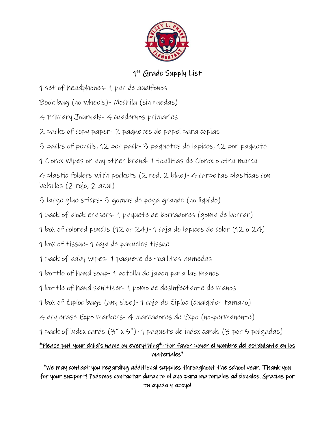

### 1<sup>st</sup> Grade Supply List

1 set of headphones- 1 par de audifonos

Book bag (no wheels)- Mochila (sin ruedas)

- 4 Primary Journals- 4 cuadernos primaries
- 2 packs of copy paper- 2 paquetes de papel para copias
- 3 packs of pencils, 12 per pack- 3 paquetes de lapices, 12 por paquete
- 1 Clorox Wipes or any other brand- 1 toallitas de Clorox o otra marca

4 plastic folders with pockets (2 red, 2 blue)- 4 carpetas plasticas con bolsillos (2 rojo, 2 azul)

- 3 large glue sticks- 3 gomas de pega grande (no liquido)
- 1 pack of block erasers- 1 paquete de borradores (goma de borrar)
- 1 box of colored pencils (12 or 24)- 1 caja de lapices de color (12 o 24)
- 1 box of tissue- 1 caja de panueles tissue
- 1 pack of baby wipes- 1 paquete de toallitas humedas
- 1 bottle of hand soap- 1 botella de jabon para las manos
- 1 bottle of hand sanitizer- 1 pomo de desinfectante de manos
- 1 box of Ziploc bags (any size)- 1 caja de Ziploc (cualquier tamano)
- 4 dry erase Expo markers- 4 marcadores de Expo (no-permanente)
- 1 pack of index cards (3" x 5")- 1 paquete de index cards (3 por 5 pulgadas)

#### \*Please put your child's name on everything\*- Por favor poner el nombre del estduiante en los materiales\*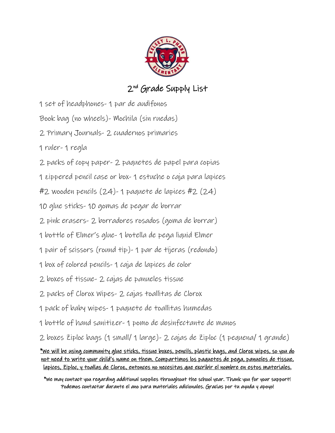

# 2<sup>nd</sup> Grade Supply List

1 set of headphones- 1 par de audifonos

Book bag (no wheels)- Mochila (sin ruedas)

- 2 Primary Journals- 2 cuadernos primaries
- 1 ruler- 1 regla
- 2 packs of copy paper- 2 paquetes de papel para copias

1 zippered pencil case or box- 1 estuche o caja para lapices

#2 wooden pencils (24)- 1 paquete de lapices #2 (24)

10 glue sticks- 10 gomas de pegar de borrar

2 pink erasers- 2 borradores rosados (goma de borrar)

1 bottle of Elmer's glue- 1 botella de pega liquid Elmer

- 1 pair of scissors (round tip)- 1 par de tijeras (redondo)
- 1 box of colored pencils- 1 caja de lapices de color
- 2 boxes of tissue- 2 cajas de panueles tissue
- 2 packs of Clorox Wipes- 2 cajas toallitas de Clorox
- 1 pack of baby wipes- 1 paquete de toallitas humedas
- 1 bottle of hand sanitizer- 1 pomo de desinfectante de manos

2 boxes Ziploc bags (1 small/ 1 large)- 2 cajas de Ziploc (1 pequena/ 1 grande)

\*We will be using community glue sticks, tissue boxes, pencils, plastic bags, and Clorox wipes, so you do not need to write your child's name on them. Compartimos los paquetes de pega, panueles de tissue, lapices, Ziploc, y toallas de Cloroz, entonces no necesitas que excribir el nombre en estos materiales.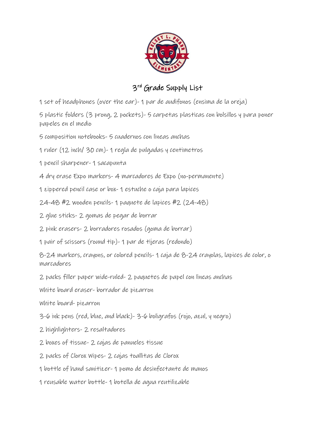

## 3<sup>rd</sup> Grade Supply List

1 set of headphones (over the ear)- 1 par de audifonos (ensima de la oreja)

5 plastic folders (3 prong, 2 pockets)- 5 carpetas plasticas con bolsillos y para poner papeles en el medio

5 composition notebooks- 5 cuadernos con lineas anchas

1 ruler (12 inch/ 30 cm)- 1 regla de pulgadas y centimetros

1 pencil sharpener- 1 sacapunta

4 dry erase Expo markers- 4 marcadores de Expo (no-permanente)

1 zippered pencil case or box- 1 estuche o caja para lapices

24-48 #2 wooden pencils- 1 paquete de lapices #2 (24-48)

2 glue sticks- 2 gomas de pegar de borrar

2 pink erasers- 2 borradores rosados (goma de borrar)

1 pair of scissors (round tip)- 1 par de tijeras (redondo)

8-24 markers, crayons, or colored pencils- 1 caja de 8-24 crayolas, lapices de color, o marcadores

2 packs filler paper wide-ruled- 2 paquetes de papel con lineas anchas

White board eraser- borrador de pizarron

White board- pizarron

3-6 ink pens (red, blue, and black)- 3-6 boligrafos (rojo, azul, y negro)

2 highlighters- 2 resaltadores

2 boxes of tissue- 2 cajas de panueles tissue

2 packs of Clorox Wipes- 2 cajas toallitas de Clorox

1 bottle of hand sanitizer- 1 pomo de desinfectante de manos

1 reusable water bottle- 1 botella de agua reutilizable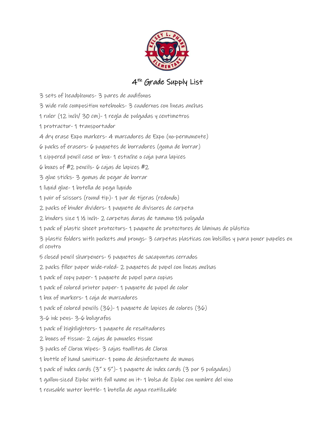

## 4th Grade Supply List

- 3 sets of headphones- 3 pares de audifonos
- 3 wide rule composition notebooks- 3 cuadernos con lineas anchas
- 1 ruler (12 inch/ 30 cm)- 1 regla de pulgadas y centimetros
- 1 protractor- 1 transportador
- 4 dry erase Expo markers- 4 marcadores de Expo (no-permanente)
- 6 packs of erasers- 6 paquetes de borradores (goma de borrar)
- 1 zippered pencil case or box- 1 estuche o caja para lapices
- 6 boxes of #2 pencils- 6 cajas de lapices #2
- 3 glue sticks- 3 gomas de pegar de borrar
- 1 liquid glue- 1 botella de pega liquido
- 1 pair of scissors (round tip)- 1 par de tijeras (redondo)
- 2 packs of binder dividers- 1 paquete de divisores de carpeta
- 2 binders size 1 ½ inch- 2 carpetas duras de tamano 1½ pulgada
- 1 pack of plastic sheet protectors- 1 paquete de protectores de láminas de plástico
- 3 plastic folders with pockets and prongs- 3 carpetas plasticas con bolsillos y para poner papeles en el centro
- 5 closed pencil sharpeners- 5 paquetes de sacapuntas cerrados
- 2 packs filler paper wide-ruled- 2 paquetes de papel con lineas anchas
- 1 pack of copy paper- 1 paquete de papel para copias
- 1 pack of colored printer paper- 1 paquete de papel de color
- 1 box of markers- 1 caja de marcadores
- 1 pack of colored pencils (36)- 1 paquete de lapices de colores (36)
- 3-6 ink pens- 3-6 boligrafos
- 1 pack of highlighters- 1 paquete de resaltadores
- 2 boxes of tissue- 2 cajas de panueles tissue
- 3 packs of Clorox Wipes- 3 cajas toallitas de Clorox
- 1 bottle of hand sanitizer- 1 pomo de desinfectante de manos
- 1 pack of index cards (3" x 5")- 1 paquete de index cards (3 por 5 pulgadas)
- 1 gallon-sized Ziploc with full name on it- 1 bolsa de Ziploc con nombre del nino
- 1 reusable water bottle- 1 botella de agua reutilizable